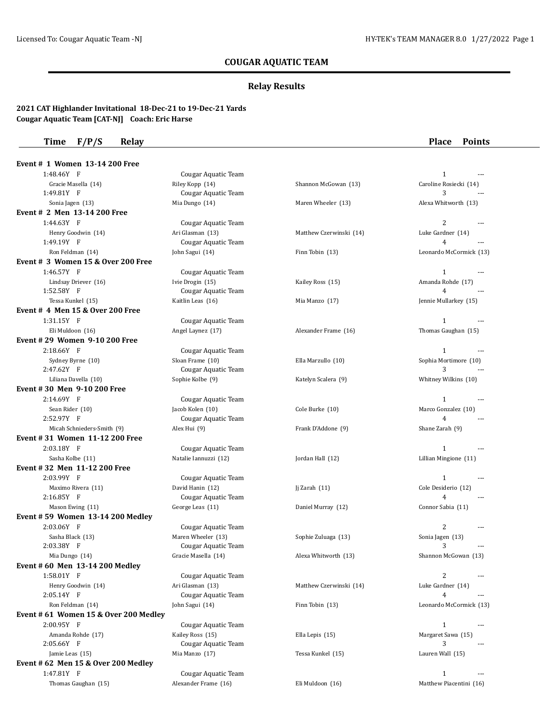## **COUGAR AQUATIC TEAM**

### **Relay Results**

### **2021 CAT Highlander Invitational 18-Dec-21 to 19-Dec-21 Yards Cougar Aquatic Team [CAT-NJ] Coach: Eric Harse**

**Time F/P/S Relay Place Points**

| Event # 1 Women 13-14 200 Free              |                            |                         |                         |
|---------------------------------------------|----------------------------|-------------------------|-------------------------|
| 1:48.46Y F                                  | Cougar Aquatic Team        |                         | $\mathbf{1}$            |
| Gracie Masella (14)                         | Riley Kopp (14)            | Shannon McGowan (13)    | Caroline Rosiecki (14)  |
| 1:49.81Y F                                  | <b>Cougar Aquatic Team</b> |                         | 3                       |
| Sonia Jagen (13)                            | Mia Dungo (14)             | Maren Wheeler (13)      | Alexa Whitworth (13)    |
| Event # 2 Men 13-14 200 Free                |                            |                         |                         |
| $1:44.63Y$ F                                | Cougar Aquatic Team        |                         | 2                       |
| Henry Goodwin (14)                          | Ari Glasman (13)           | Matthew Czerwinski (14) | Luke Gardner (14)       |
| 1:49.19Y F                                  | Cougar Aquatic Team        |                         | $\overline{4}$          |
| Ron Feldman (14)                            | John Sagui (14)            | Finn Tobin (13)         | Leonardo McCormick (13) |
| Event # 3 Women 15 & Over 200 Free          |                            |                         |                         |
| 1:46.57Y F                                  | Cougar Aquatic Team        |                         | $\mathbf{1}$            |
| Lindsay Driever (16)                        | Ivie Drogin (15)           | Kailey Ross (15)        | Amanda Rohde (17)       |
| 1:52.58Y F                                  | Cougar Aquatic Team        |                         | 4                       |
| Tessa Kunkel (15)                           | Kaitlin Leas (16)          | Mia Manzo (17)          | Jennie Mullarkey (15)   |
| <b>Event # 4 Men 15 &amp; Over 200 Free</b> |                            |                         |                         |
| 1:31.15Y F                                  | Cougar Aquatic Team        |                         | $\mathbf{1}$<br>$---$   |
| Eli Muldoon (16)                            | Angel Laynez (17)          | Alexander Frame (16)    | Thomas Gaughan (15)     |
| Event #29 Women 9-10 200 Free               |                            |                         |                         |
| $2:18.66Y$ F                                | Cougar Aquatic Team        |                         | $\mathbf{1}$            |
| Sydney Byrne (10)                           | Sloan Frame (10)           | Ella Marzullo (10)      | Sophia Mortimore (10)   |
| 2:47.62Y F                                  | Cougar Aquatic Team        |                         | 3                       |
| Liliana Davella (10)                        | Sophie Kolbe (9)           | Katelyn Scalera (9)     | Whitney Wilkins (10)    |
| Event # 30 Men 9-10 200 Free                |                            |                         |                         |
| 2:14.69Y F                                  | Cougar Aquatic Team        |                         | $\mathbf{1}$<br>$- - -$ |
| Sean Rider (10)                             | Jacob Kolen (10)           | Cole Burke (10)         | Marco Gonzalez (10)     |
| 2:52.97Y F                                  | Cougar Aquatic Team        |                         | $\overline{4}$          |
| Micah Schnieders-Smith (9)                  | Alex Hui (9)               | Frank D'Addone (9)      | Shane Zarah (9)         |
| Event #31 Women 11-12 200 Free              |                            |                         |                         |
| 2:03.18Y F                                  | Cougar Aquatic Team        |                         | $\mathbf{1}$            |
| Sasha Kolbe (11)                            | Natalie Iannuzzi (12)      | Jordan Hall (12)        | Lillian Mingione (11)   |
| Event #32 Men 11-12 200 Free                |                            |                         |                         |
| 2:03.99Y F                                  | Cougar Aquatic Team        |                         | $\mathbf{1}$            |
| Maximo Rivera (11)                          | David Hanin (12)           | Jj Zarah $(11)$         | Cole Desiderio (12)     |
| 2:16.85Y F                                  | Cougar Aquatic Team        |                         | $\overline{4}$          |
| Mason Ewing (11)                            | George Leas (11)           | Daniel Murray (12)      | Connor Sabia (11)       |
| Event # 59 Women 13-14 200 Medley           |                            |                         |                         |
| 2:03.06Y F                                  | Cougar Aquatic Team        |                         | 2                       |
| Sasha Black (13)                            | Maren Wheeler (13)         | Sophie Zuluaga (13)     | Sonia Jagen (13)        |
| 2:03.38Y F                                  | Cougar Aquatic Team        |                         | 3<br>---                |
| Mia Dungo (14)                              | Gracie Masella (14)        | Alexa Whitworth (13)    | Shannon McGowan (13)    |
| Event # 60 Men 13-14 200 Medley             |                            |                         |                         |
| 1:58.01Y F                                  | Cougar Aquatic Team        |                         | 2<br>$\overline{a}$     |
| Henry Goodwin (14)                          | Ari Glasman (13)           | Matthew Czerwinski (14) | Luke Gardner (14)       |
| 2:05.14Y F                                  | Cougar Aquatic Team        |                         | 4<br>---                |
| Ron Feldman (14)                            | John Sagui (14)            | Finn Tobin (13)         | Leonardo McCormick (13) |
| Event # 61 Women 15 & Over 200 Medley       |                            |                         |                         |
| 2:00.95Y F                                  | Cougar Aquatic Team        |                         | 1<br>$- - -$            |
| Amanda Rohde (17)                           | Kailey Ross (15)           | Ella Lepis (15)         | Margaret Sawa (15)      |
| $2:05.66Y$ F                                | Cougar Aquatic Team        |                         | 3                       |
| Jamie Leas (15)                             | Mia Manzo (17)             | Tessa Kunkel (15)       | Lauren Wall (15)        |
| Event $#62$ Men 15 & Over 200 Medley        |                            |                         |                         |
| 1:47.81Y F                                  | Cougar Aquatic Team        |                         | $\mathbf{1}$            |
| Thomas Gaughan (15)                         | Alexander Frame (16)       | Eli Muldoon (16)        | Matthew Piacentini (16) |